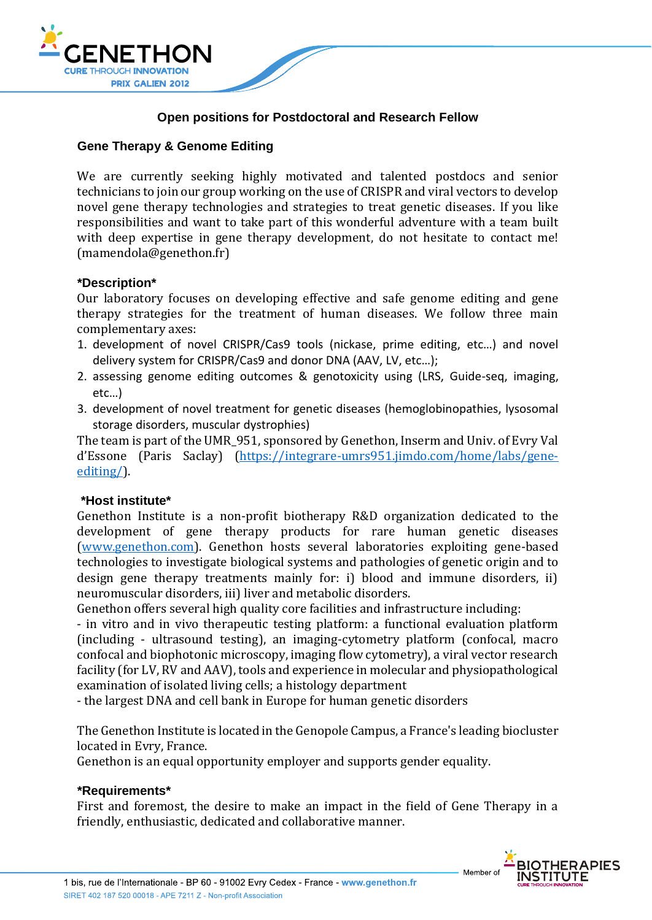

## **Open positions for Postdoctoral and Research Fellow**

# **Gene Therapy & Genome Editing**

We are currently seeking highly motivated and talented postdocs and senior technicians to join our group working on the use of CRISPR and viral vectors to develop novel gene therapy technologies and strategies to treat genetic diseases. If you like responsibilities and want to take part of this wonderful adventure with a team built with deep expertise in gene therapy development, do not hesitate to contact me! (mamendola@genethon.fr)

## **\*Description\***

Our laboratory focuses on developing effective and safe genome editing and gene therapy strategies for the treatment of human diseases. We follow three main complementary axes:

- 1. development of novel CRISPR/Cas9 tools (nickase, prime editing, etc…) and novel delivery system for CRISPR/Cas9 and donor DNA (AAV, LV, etc…);
- 2. assessing genome editing outcomes & genotoxicity using (LRS, Guide-seq, imaging, etc…)
- 3. development of novel treatment for genetic diseases (hemoglobinopathies, lysosomal storage disorders, muscular dystrophies)

The team is part of the UMR\_951, sponsored by Genethon, Inserm and Univ. of Evry Val d'Essone (Paris Saclay) ([https://integrare-umrs951.jimdo.com/home/labs/gene](https://integrare-umrs951.jimdo.com/home/labs/gene-editing/)[editing/\)](https://integrare-umrs951.jimdo.com/home/labs/gene-editing/).

#### **\*Host institute\***

Genethon Institute is a non-profit biotherapy R&D organization dedicated to the development of gene therapy products for rare human genetic diseases [\(www.genethon.com\)](file:///C:/Users/mamendola/Desktop/www.genethon.com). Genethon hosts several laboratories exploiting gene-based technologies to investigate biological systems and pathologies of genetic origin and to design gene therapy treatments mainly for: i) blood and immune disorders, ii) neuromuscular disorders, iii) liver and metabolic disorders.

Genethon offers several high quality core facilities and infrastructure including:

- in vitro and in vivo therapeutic testing platform: a functional evaluation platform (including - ultrasound testing), an imaging-cytometry platform (confocal, macro confocal and biophotonic microscopy, imaging flow cytometry), a viral vector research facility (for LV, RV and AAV), tools and experience in molecular and physiopathological examination of isolated living cells; a histology department

- the largest DNA and cell bank in Europe for human genetic disorders

The Genethon Institute is located in the Genopole Campus, a France's leading biocluster located in Evry, France.

Genethon is an equal opportunity employer and supports gender equality.

#### **\*Requirements\***

First and foremost, the desire to make an impact in the field of Gene Therapy in a friendly, enthusiastic, dedicated and collaborative manner.